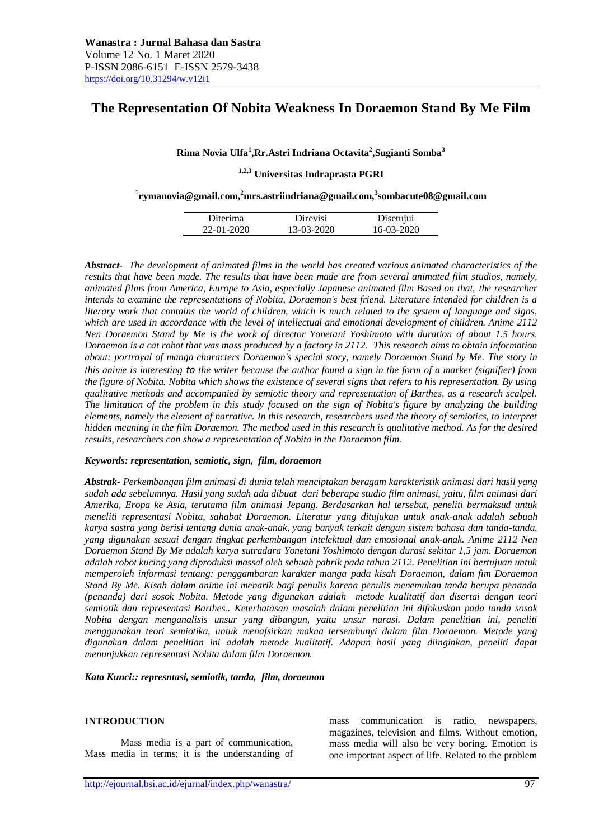# **The Representation Of Nobita Weakness In Doraemon Stand By Me Film**

### **Rima Novia Ulfa<sup>1</sup> ,Rr.Astri Indriana Octavita<sup>2</sup> ,Sugianti Somba<sup>3</sup>**

# **1,2,3 Universitas Indraprasta PGRI**

1 **[rymanovia@gmail.com,](mailto:rymanovia@gmail.com) <sup>2</sup>mrs.astriindriana@gmail.com,<sup>3</sup> sombacute08@gmail.com**

| Diterima   | Direvisi   | Disetujui  |
|------------|------------|------------|
| 22-01-2020 | 13-03-2020 | 16-03-2020 |

*Abstract- The development of animated films in the world has created various animated characteristics of the results that have been made. The results that have been made are from several animated film studios, namely, animated films from America, Europe to Asia, especially Japanese animated film Based on that, the researcher intends to examine the representations of Nobita, Doraemon's best friend. Literature intended for children is a literary work that contains the world of children, which is much related to the system of language and signs, which are used in accordance with the level of intellectual and emotional development of children. Anime 2112 Nen Doraemon Stand by Me is the work of director Yonetani Yoshimoto with duration of about 1.5 hours. Doraemon is a cat robot that was mass produced by a factory in 2112. This research aims to obtain information about: portrayal of manga characters Doraemon's special story, namely Doraemon Stand by Me. The story in this anime is interesting to the writer because the author found a sign in the form of a marker (signifier) from the figure of Nobita. Nobita which shows the existence of several signs that refers to his representation. By using qualitative methods and accompanied by semiotic theory and representation of Barthes, as a research scalpel. The limitation of the problem in this study focused on the sign of Nobita's figure by analyzing the building elements, namely the element of narrative. In this research, researchers used the theory of semiotics, to interpret hidden meaning in the film Doraemon. The method used in this research is qualitative method. As for the desired results, researchers can show a representation of Nobita in the Doraemon film.* 

#### *Keywords: representation, semiotic, sign, film, doraemon*

*Abstrak- Perkembangan film animasi di dunia telah menciptakan beragam karakteristik animasi dari hasil yang sudah ada sebelumnya. Hasil yang sudah ada dibuat dari beberapa studio film animasi, yaitu, film animasi dari Amerika, Eropa ke Asia, terutama film animasi Jepang. Berdasarkan hal tersebut, peneliti bermaksud untuk meneliti representasi Nobita, sahabat Doraemon. Literatur yang ditujukan untuk anak-anak adalah sebuah karya sastra yang berisi tentang dunia anak-anak, yang banyak terkait dengan sistem bahasa dan tanda-tanda, yang digunakan sesuai dengan tingkat perkembangan intelektual dan emosional anak-anak. Anime 2112 Nen Doraemon Stand By Me adalah karya sutradara Yonetani Yoshimoto dengan durasi sekitar 1,5 jam. Doraemon adalah robot kucing yang diproduksi massal oleh sebuah pabrik pada tahun 2112. Penelitian ini bertujuan untuk memperoleh informasi tentang: penggambaran karakter manga pada kisah Doraemon, dalam fim Doraemon Stand By Me. Kisah dalam anime ini menarik bagi penulis karena penulis menemukan tanda berupa penanda (penanda) dari sosok Nobita. Metode yang digunakan adalah metode kualitatif dan disertai dengan teori semiotik dan representasi Barthes.. Keterbatasan masalah dalam penelitian ini difokuskan pada tanda sosok Nobita dengan menganalisis unsur yang dibangun, yaitu unsur narasi. Dalam penelitian ini, peneliti menggunakan teori semiotika, untuk menafsirkan makna tersembunyi dalam film Doraemon. Metode yang digunakan dalam penelitian ini adalah metode kualitatif. Adapun hasil yang diinginkan, peneliti dapat menunjukkan representasi Nobita dalam film Doraemon.*

*Kata Kunci:: represntasi, semiotik, tanda, film, doraemon*

#### **INTRODUCTION**

Mass media is a part of communication, Mass media in terms; it is the understanding of mass communication is radio, newspapers, magazines, television and films. Without emotion, mass media will also be very boring. Emotion is one important aspect of life. Related to the problem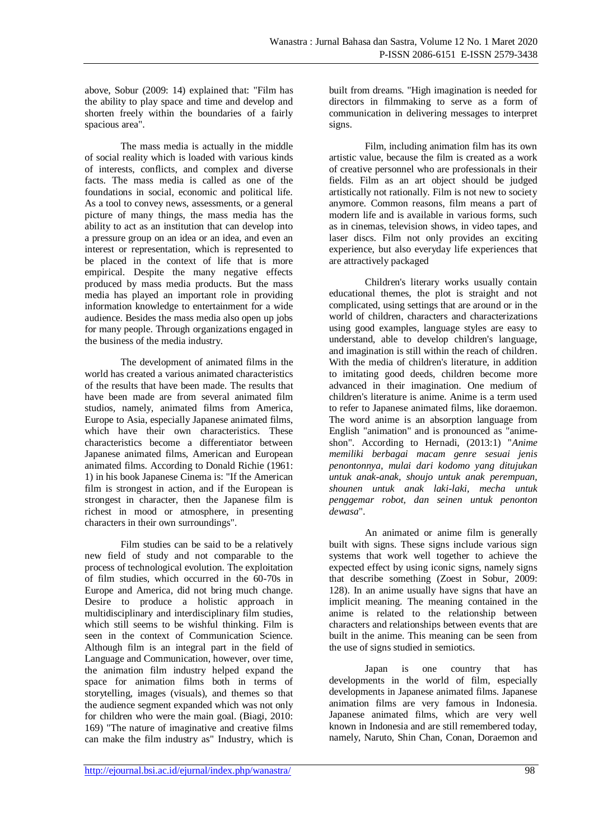above, Sobur (2009: 14) explained that: "Film has the ability to play space and time and develop and shorten freely within the boundaries of a fairly spacious area".

The mass media is actually in the middle of social reality which is loaded with various kinds of interests, conflicts, and complex and diverse facts. The mass media is called as one of the foundations in social, economic and political life. As a tool to convey news, assessments, or a general picture of many things, the mass media has the ability to act as an institution that can develop into a pressure group on an idea or an idea, and even an interest or representation, which is represented to be placed in the context of life that is more empirical. Despite the many negative effects produced by mass media products. But the mass media has played an important role in providing information knowledge to entertainment for a wide audience. Besides the mass media also open up jobs for many people. Through organizations engaged in the business of the media industry.

The development of animated films in the world has created a various animated characteristics of the results that have been made. The results that have been made are from several animated film studios, namely, animated films from America, Europe to Asia, especially Japanese animated films, which have their own characteristics. These characteristics become a differentiator between Japanese animated films, American and European animated films. According to Donald Richie (1961: 1) in his book Japanese Cinema is: "If the American film is strongest in action, and if the European is strongest in character, then the Japanese film is richest in mood or atmosphere, in presenting characters in their own surroundings".

Film studies can be said to be a relatively new field of study and not comparable to the process of technological evolution. The exploitation of film studies, which occurred in the 60-70s in Europe and America, did not bring much change. Desire to produce a holistic approach in multidisciplinary and interdisciplinary film studies, which still seems to be wishful thinking. Film is seen in the context of Communication Science. Although film is an integral part in the field of Language and Communication, however, over time, the animation film industry helped expand the space for animation films both in terms of storytelling, images (visuals), and themes so that the audience segment expanded which was not only for children who were the main goal. (Biagi, 2010: 169) "The nature of imaginative and creative films can make the film industry as" Industry, which is

built from dreams. "High imagination is needed for directors in filmmaking to serve as a form of communication in delivering messages to interpret signs.

Film, including animation film has its own artistic value, because the film is created as a work of creative personnel who are professionals in their fields. Film as an art object should be judged artistically not rationally. Film is not new to society anymore. Common reasons, film means a part of modern life and is available in various forms, such as in cinemas, television shows, in video tapes, and laser discs. Film not only provides an exciting experience, but also everyday life experiences that are attractively packaged

Children's literary works usually contain educational themes, the plot is straight and not complicated, using settings that are around or in the world of children, characters and characterizations using good examples, language styles are easy to understand, able to develop children's language, and imagination is still within the reach of children. With the media of children's literature, in addition to imitating good deeds, children become more advanced in their imagination. One medium of children's literature is anime. Anime is a term used to refer to Japanese animated films, like doraemon. The word anime is an absorption language from English "animation" and is pronounced as "animeshon". According to Hernadi, (2013:1) "*Anime memiliki berbagai macam genre sesuai jenis penontonnya, mulai dari kodomo yang ditujukan untuk anak-anak, shoujo untuk anak perempuan, shounen untuk anak laki-laki, mecha untuk penggemar robot, dan seinen untuk penonton dewasa*".

An animated or anime film is generally built with signs. These signs include various sign systems that work well together to achieve the expected effect by using iconic signs, namely signs that describe something (Zoest in Sobur, 2009: 128). In an anime usually have signs that have an implicit meaning. The meaning contained in the anime is related to the relationship between characters and relationships between events that are built in the anime. This meaning can be seen from the use of signs studied in semiotics.

Japan is one country that has developments in the world of film, especially developments in Japanese animated films. Japanese animation films are very famous in Indonesia. Japanese animated films, which are very well known in Indonesia and are still remembered today, namely, Naruto, Shin Chan, Conan, Doraemon and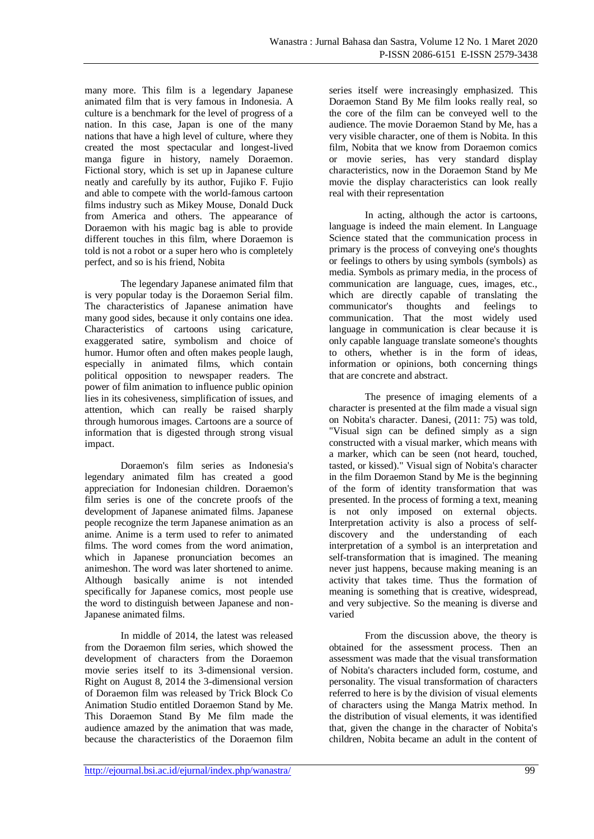many more. This film is a legendary Japanese animated film that is very famous in Indonesia. A culture is a benchmark for the level of progress of a nation. In this case, Japan is one of the many nations that have a high level of culture, where they created the most spectacular and longest-lived manga figure in history, namely Doraemon. Fictional story, which is set up in Japanese culture neatly and carefully by its author, Fujiko F. Fujio and able to compete with the world-famous cartoon films industry such as Mikey Mouse, Donald Duck from America and others. The appearance of Doraemon with his magic bag is able to provide different touches in this film, where Doraemon is told is not a robot or a super hero who is completely perfect, and so is his friend, Nobita

The legendary Japanese animated film that is very popular today is the Doraemon Serial film. The characteristics of Japanese animation have many good sides, because it only contains one idea. Characteristics of cartoons using caricature, exaggerated satire, symbolism and choice of humor. Humor often and often makes people laugh, especially in animated films, which contain political opposition to newspaper readers. The power of film animation to influence public opinion lies in its cohesiveness, simplification of issues, and attention, which can really be raised sharply through humorous images. Cartoons are a source of information that is digested through strong visual impact.

Doraemon's film series as Indonesia's legendary animated film has created a good appreciation for Indonesian children. Doraemon's film series is one of the concrete proofs of the development of Japanese animated films. Japanese people recognize the term Japanese animation as an anime. Anime is a term used to refer to animated films. The word comes from the word animation, which in Japanese pronunciation becomes an animeshon. The word was later shortened to anime. Although basically anime is not intended specifically for Japanese comics, most people use the word to distinguish between Japanese and non-Japanese animated films.

In middle of 2014, the latest was released from the Doraemon film series, which showed the development of characters from the Doraemon movie series itself to its 3-dimensional version. Right on August 8, 2014 the 3-dimensional version of Doraemon film was released by Trick Block Co Animation Studio entitled Doraemon Stand by Me. This Doraemon Stand By Me film made the audience amazed by the animation that was made, because the characteristics of the Doraemon film

series itself were increasingly emphasized. This Doraemon Stand By Me film looks really real, so the core of the film can be conveyed well to the audience. The movie Doraemon Stand by Me, has a very visible character, one of them is Nobita. In this film, Nobita that we know from Doraemon comics or movie series, has very standard display characteristics, now in the Doraemon Stand by Me movie the display characteristics can look really real with their representation

In acting, although the actor is cartoons, language is indeed the main element. In Language Science stated that the communication process in primary is the process of conveying one's thoughts or feelings to others by using symbols (symbols) as media. Symbols as primary media, in the process of communication are language, cues, images, etc., which are directly capable of translating the communicator's thoughts and feelings to communication. That the most widely used language in communication is clear because it is only capable language translate someone's thoughts to others, whether is in the form of ideas, information or opinions, both concerning things that are concrete and abstract.

The presence of imaging elements of a character is presented at the film made a visual sign on Nobita's character. Danesi, (2011: 75) was told, "Visual sign can be defined simply as a sign constructed with a visual marker, which means with a marker, which can be seen (not heard, touched, tasted, or kissed)." Visual sign of Nobita's character in the film Doraemon Stand by Me is the beginning of the form of identity transformation that was presented. In the process of forming a text, meaning is not only imposed on external objects. Interpretation activity is also a process of selfdiscovery and the understanding of each interpretation of a symbol is an interpretation and self-transformation that is imagined. The meaning never just happens, because making meaning is an activity that takes time. Thus the formation of meaning is something that is creative, widespread, and very subjective. So the meaning is diverse and varied

From the discussion above, the theory is obtained for the assessment process. Then an assessment was made that the visual transformation of Nobita's characters included form, costume, and personality. The visual transformation of characters referred to here is by the division of visual elements of characters using the Manga Matrix method. In the distribution of visual elements, it was identified that, given the change in the character of Nobita's children, Nobita became an adult in the content of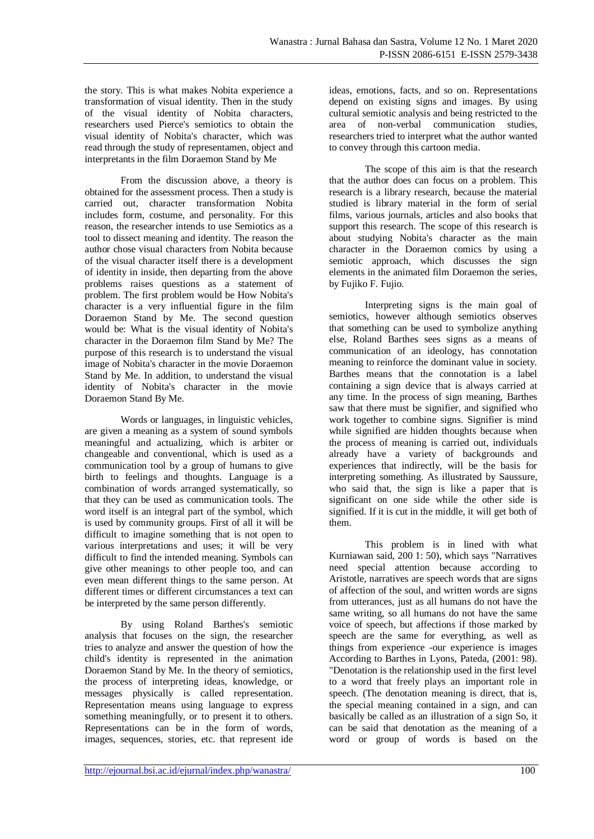the story. This is what makes Nobita experience a transformation of visual identity. Then in the study of the visual identity of Nobita characters, researchers used Pierce's semiotics to obtain the visual identity of Nobita's character, which was read through the study of representamen, object and interpretants in the film Doraemon Stand by Me

From the discussion above, a theory is obtained for the assessment process. Then a study is carried out, character transformation Nobita includes form, costume, and personality. For this reason, the researcher intends to use Semiotics as a tool to dissect meaning and identity. The reason the author chose visual characters from Nobita because of the visual character itself there is a development of identity in inside, then departing from the above problems raises questions as a statement of problem. The first problem would be How Nobita's character is a very influential figure in the film Doraemon Stand by Me. The second question would be: What is the visual identity of Nobita's character in the Doraemon film Stand by Me? The purpose of this research is to understand the visual image of Nobita's character in the movie Doraemon Stand by Me. In addition, to understand the visual identity of Nobita's character in the movie Doraemon Stand By Me.

Words or languages, in linguistic vehicles, are given a meaning as a system of sound symbols meaningful and actualizing, which is arbiter or changeable and conventional, which is used as a communication tool by a group of humans to give birth to feelings and thoughts. Language is a combination of words arranged systematically, so that they can be used as communication tools. The word itself is an integral part of the symbol, which is used by community groups. First of all it will be difficult to imagine something that is not open to various interpretations and uses; it will be very difficult to find the intended meaning. Symbols can give other meanings to other people too, and can even mean different things to the same person. At different times or different circumstances a text can be interpreted by the same person differently.

By using Roland Barthes's semiotic analysis that focuses on the sign, the researcher tries to analyze and answer the question of how the child's identity is represented in the animation Doraemon Stand by Me. In the theory of semiotics, the process of interpreting ideas, knowledge, or messages physically is called representation. Representation means using language to express something meaningfully, or to present it to others. Representations can be in the form of words, images, sequences, stories, etc. that represent ide

ideas, emotions, facts, and so on. Representations depend on existing signs and images. By using cultural semiotic analysis and being restricted to the area of non-verbal communication studies, researchers tried to interpret what the author wanted to convey through this cartoon media.

The scope of this aim is that the research that the author does can focus on a problem. This research is a library research, because the material studied is library material in the form of serial films, various journals, articles and also books that support this research. The scope of this research is about studying Nobita's character as the main character in the Doraemon comics by using a semiotic approach, which discusses the sign elements in the animated film Doraemon the series, by Fujiko F. Fujio.

Interpreting signs is the main goal of semiotics, however although semiotics observes that something can be used to symbolize anything else, Roland Barthes sees signs as a means of communication of an ideology, has connotation meaning to reinforce the dominant value in society. Barthes means that the connotation is a label containing a sign device that is always carried at any time. In the process of sign meaning, Barthes saw that there must be signifier, and signified who work together to combine signs. Signifier is mind while signified are hidden thoughts because when the process of meaning is carried out, individuals already have a variety of backgrounds and experiences that indirectly, will be the basis for interpreting something. As illustrated by Saussure, who said that, the sign is like a paper that is significant on one side while the other side is signified. If it is cut in the middle, it will get both of them.

This problem is in lined with what Kurniawan said, 200 1: 50), which says "Narratives need special attention because according to Aristotle, narratives are speech words that are signs of affection of the soul, and written words are signs from utterances, just as all humans do not have the same writing, so all humans do not have the same voice of speech, but affections if those marked by speech are the same for everything, as well as things from experience -our experience is images According to Barthes in Lyons, Pateda, (2001: 98). "Denotation is the relationship used in the first level to a word that freely plays an important role in speech. (The denotation meaning is direct, that is, the special meaning contained in a sign, and can basically be called as an illustration of a sign So, it can be said that denotation as the meaning of a word or group of words is based on the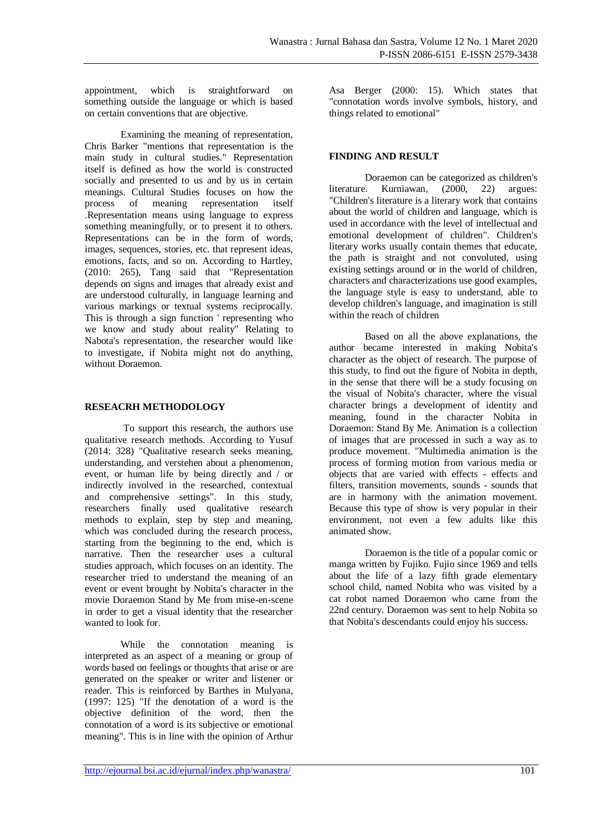appointment, which is straightforward on something outside the language or which is based on certain conventions that are objective.

Examining the meaning of representation, Chris Barker "mentions that representation is the main study in cultural studies." Representation itself is defined as how the world is constructed socially and presented to us and by us in certain meanings. Cultural Studies focuses on how the process of meaning representation itself .Representation means using language to express something meaningfully, or to present it to others. Representations can be in the form of words, images, sequences, stories, etc. that represent ideas, emotions, facts, and so on. According to Hartley, (2010: 265), Tang said that "Representation depends on signs and images that already exist and are understood culturally, in language learning and various markings or textual systems reciprocally. This is through a sign function ' representing who we know and study about reality" Relating to Nabota's representation, the researcher would like to investigate, if Nobita might not do anything, without Doraemon.

### **RESEACRH METHODOLOGY**

To support this research, the authors use qualitative research methods. According to Yusuf (2014: 328) "Qualitative research seeks meaning, understanding, and verstehen about a phenomenon, event, or human life by being directly and / or indirectly involved in the researched, contextual and comprehensive settings". In this study, researchers finally used qualitative research methods to explain, step by step and meaning, which was concluded during the research process. starting from the beginning to the end, which is narrative. Then the researcher uses a cultural studies approach, which focuses on an identity. The researcher tried to understand the meaning of an event or event brought by Nobita's character in the movie Doraemon Stand by Me from mise-en-scene in order to get a visual identity that the researcher wanted to look for.

While the connotation meaning is interpreted as an aspect of a meaning or group of words based on feelings or thoughts that arise or are generated on the speaker or writer and listener or reader. This is reinforced by Barthes in Mulyana, (1997: 125) "If the denotation of a word is the objective definition of the word, then the connotation of a word is its subjective or emotional meaning". This is in line with the opinion of Arthur Asa Berger (2000: 15). Which states that "connotation words involve symbols, history, and things related to emotional"

# **FINDING AND RESULT**

Doraemon can be categorized as children's literature. Kurniawan, (2000, 22) argues: "Children's literature is a literary work that contains about the world of children and language, which is used in accordance with the level of intellectual and emotional development of children". Children's literary works usually contain themes that educate, the path is straight and not convoluted, using existing settings around or in the world of children, characters and characterizations use good examples, the language style is easy to understand, able to develop children's language, and imagination is still within the reach of children

Based on all the above explanations, the author became interested in making Nobita's character as the object of research. The purpose of this study, to find out the figure of Nobita in depth, in the sense that there will be a study focusing on the visual of Nobita's character, where the visual character brings a development of identity and meaning, found in the character Nobita in Doraemon: Stand By Me. Animation is a collection of images that are processed in such a way as to produce movement. "Multimedia animation is the process of forming motion from various media or objects that are varied with effects - effects and filters, transition movements, sounds - sounds that are in harmony with the animation movement. Because this type of show is very popular in their environment, not even a few adults like this animated show.

Doraemon is the title of a popular comic or manga written by Fujiko. Fujio since 1969 and tells about the life of a lazy fifth grade elementary school child, named Nobita who was visited by a cat robot named Doraemon who came from the 22nd century. Doraemon was sent to help Nobita so that Nobita's descendants could enjoy his success.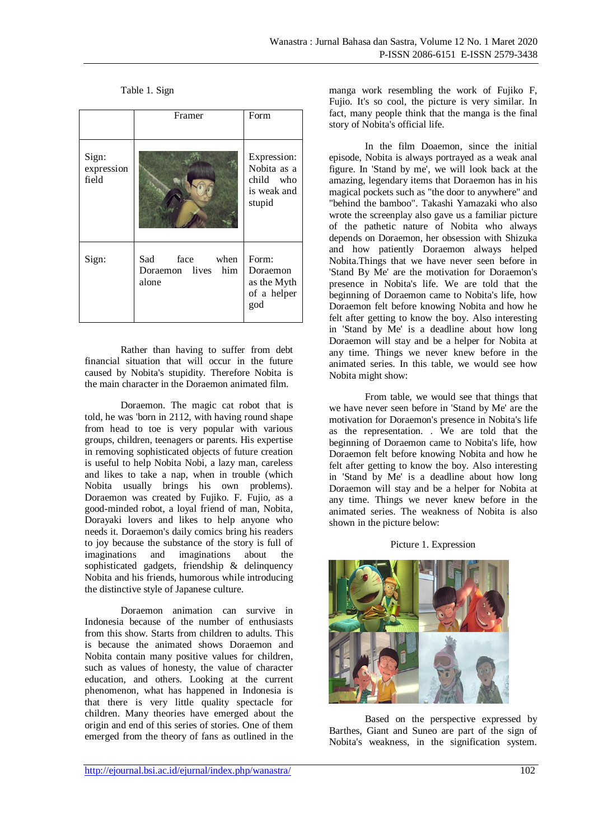Table 1. Sign

|                              | Framer                                          | Form                                                             |
|------------------------------|-------------------------------------------------|------------------------------------------------------------------|
| Sign:<br>expression<br>field |                                                 | Expression:<br>Nobita as a<br>child who<br>is weak and<br>stupid |
| Sign:                        | Sad face when<br>Doraemon lives<br>him<br>alone | Form:<br>Doraemon<br>as the Myth<br>of a helper<br>god           |

Rather than having to suffer from debt financial situation that will occur in the future caused by Nobita's stupidity. Therefore Nobita is the main character in the Doraemon animated film.

Doraemon. The magic cat robot that is told, he was 'born in 2112, with having round shape from head to toe is very popular with various groups, children, teenagers or parents. His expertise in removing sophisticated objects of future creation is useful to help Nobita Nobi, a lazy man, careless and likes to take a nap, when in trouble (which Nobita usually brings his own problems). Doraemon was created by Fujiko. F. Fujio, as a good-minded robot, a loyal friend of man, Nobita, Dorayaki lovers and likes to help anyone who needs it. Doraemon's daily comics bring his readers to joy because the substance of the story is full of imaginations and imaginations about the sophisticated gadgets, friendship & delinquency Nobita and his friends, humorous while introducing the distinctive style of Japanese culture.

Doraemon animation can survive in Indonesia because of the number of enthusiasts from this show. Starts from children to adults. This is because the animated shows Doraemon and Nobita contain many positive values for children, such as values of honesty, the value of character education, and others. Looking at the current phenomenon, what has happened in Indonesia is that there is very little quality spectacle for children. Many theories have emerged about the origin and end of this series of stories. One of them emerged from the theory of fans as outlined in the manga work resembling the work of Fujiko F, Fujio. It's so cool, the picture is very similar. In fact, many people think that the manga is the final story of Nobita's official life.

In the film Doaemon, since the initial episode, Nobita is always portrayed as a weak anal figure. In 'Stand by me', we will look back at the amazing, legendary items that Doraemon has in his magical pockets such as "the door to anywhere" and "behind the bamboo". Takashi Yamazaki who also wrote the screenplay also gave us a familiar picture of the pathetic nature of Nobita who always depends on Doraemon, her obsession with Shizuka and how patiently Doraemon always helped Nobita.Things that we have never seen before in 'Stand By Me' are the motivation for Doraemon's presence in Nobita's life. We are told that the beginning of Doraemon came to Nobita's life, how Doraemon felt before knowing Nobita and how he felt after getting to know the boy. Also interesting in 'Stand by Me' is a deadline about how long Doraemon will stay and be a helper for Nobita at any time. Things we never knew before in the animated series. In this table, we would see how Nobita might show:

From table, we would see that things that we have never seen before in 'Stand by Me' are the motivation for Doraemon's presence in Nobita's life as the representation. . We are told that the beginning of Doraemon came to Nobita's life, how Doraemon felt before knowing Nobita and how he felt after getting to know the boy. Also interesting in 'Stand by Me' is a deadline about how long Doraemon will stay and be a helper for Nobita at any time. Things we never knew before in the animated series. The weakness of Nobita is also shown in the picture below:

#### Picture 1. Expression



Based on the perspective expressed by Barthes, Giant and Suneo are part of the sign of Nobita's weakness, in the signification system.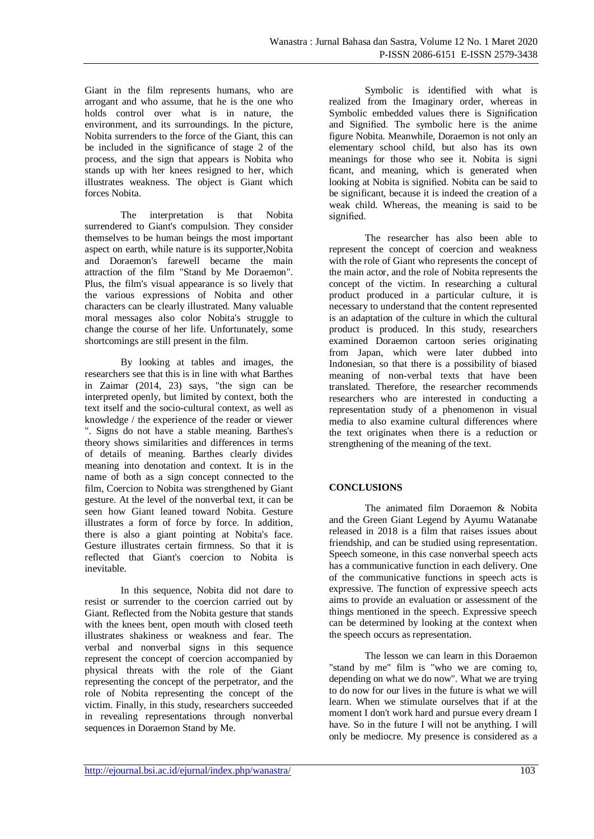Giant in the film represents humans, who are arrogant and who assume, that he is the one who holds control over what is in nature, the environment, and its surroundings. In the picture, Nobita surrenders to the force of the Giant, this can be included in the significance of stage 2 of the process, and the sign that appears is Nobita who stands up with her knees resigned to her, which illustrates weakness. The object is Giant which forces Nobita.

The interpretation is that Nobita surrendered to Giant's compulsion. They consider themselves to be human beings the most important aspect on earth, while nature is its supporter,Nobita and Doraemon's farewell became the main attraction of the film "Stand by Me Doraemon". Plus, the film's visual appearance is so lively that the various expressions of Nobita and other characters can be clearly illustrated. Many valuable moral messages also color Nobita's struggle to change the course of her life. Unfortunately, some shortcomings are still present in the film.

By looking at tables and images, the researchers see that this is in line with what Barthes in Zaimar (2014, 23) says, "the sign can be interpreted openly, but limited by context, both the text itself and the socio-cultural context, as well as knowledge / the experience of the reader or viewer ". Signs do not have a stable meaning. Barthes's theory shows similarities and differences in terms of details of meaning. Barthes clearly divides meaning into denotation and context. It is in the name of both as a sign concept connected to the film, Coercion to Nobita was strengthened by Giant gesture. At the level of the nonverbal text, it can be seen how Giant leaned toward Nobita. Gesture illustrates a form of force by force. In addition, there is also a giant pointing at Nobita's face. Gesture illustrates certain firmness. So that it is reflected that Giant's coercion to Nobita is inevitable.

In this sequence, Nobita did not dare to resist or surrender to the coercion carried out by Giant. Reflected from the Nobita gesture that stands with the knees bent, open mouth with closed teeth illustrates shakiness or weakness and fear. The verbal and nonverbal signs in this sequence represent the concept of coercion accompanied by physical threats with the role of the Giant representing the concept of the perpetrator, and the role of Nobita representing the concept of the victim. Finally, in this study, researchers succeeded in revealing representations through nonverbal sequences in Doraemon Stand by Me.

Symbolic is identified with what is realized from the Imaginary order, whereas in Symbolic embedded values there is Signification and Signified. The symbolic here is the anime figure Nobita. Meanwhile, Doraemon is not only an elementary school child, but also has its own meanings for those who see it. Nobita is signi ficant, and meaning, which is generated when looking at Nobita is signified. Nobita can be said to be significant, because it is indeed the creation of a weak child. Whereas, the meaning is said to be signified.

The researcher has also been able to represent the concept of coercion and weakness with the role of Giant who represents the concept of the main actor, and the role of Nobita represents the concept of the victim. In researching a cultural product produced in a particular culture, it is necessary to understand that the content represented is an adaptation of the culture in which the cultural product is produced. In this study, researchers examined Doraemon cartoon series originating from Japan, which were later dubbed into Indonesian, so that there is a possibility of biased meaning of non-verbal texts that have been translated. Therefore, the researcher recommends researchers who are interested in conducting a representation study of a phenomenon in visual media to also examine cultural differences where the text originates when there is a reduction or strengthening of the meaning of the text.

# **CONCLUSIONS**

The animated film Doraemon & Nobita and the Green Giant Legend by Ayumu Watanabe released in 2018 is a film that raises issues about friendship, and can be studied using representation. Speech someone, in this case nonverbal speech acts has a communicative function in each delivery. One of the communicative functions in speech acts is expressive. The function of expressive speech acts aims to provide an evaluation or assessment of the things mentioned in the speech. Expressive speech can be determined by looking at the context when the speech occurs as representation.

The lesson we can learn in this Doraemon "stand by me" film is "who we are coming to, depending on what we do now". What we are trying to do now for our lives in the future is what we will learn. When we stimulate ourselves that if at the moment I don't work hard and pursue every dream I have. So in the future I will not be anything. I will only be mediocre. My presence is considered as a